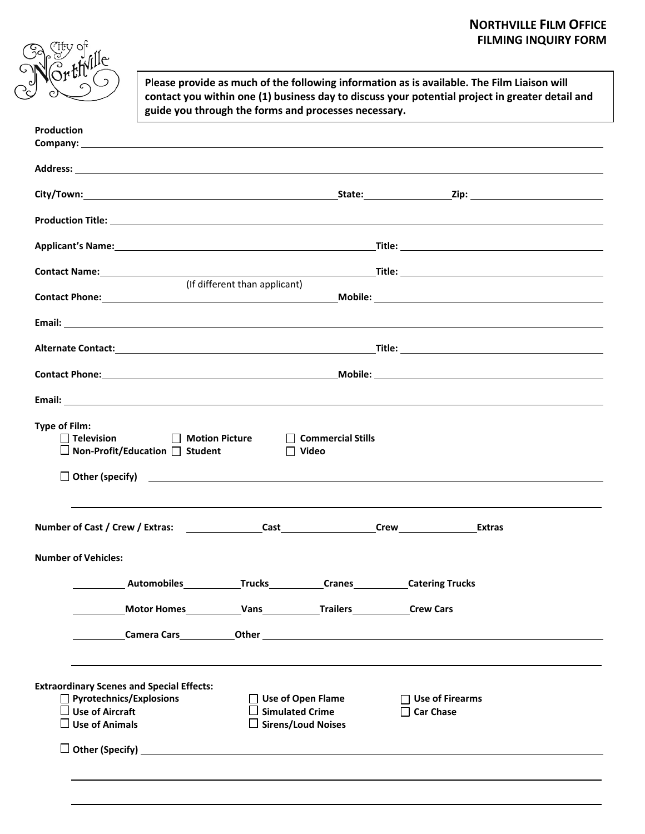## **NORTHVILLE FILM OFFICE FILMING INQUIRY FORM**



**P**l**ease provide as much of the following information as is available. The Film Liaison will contact you within one (1) business day to discuss your potential project in greater detail and guide you through the forms and processes necessary.**

| <b>Production</b>                                                                                                                                                                                                       |                                            |
|-------------------------------------------------------------------------------------------------------------------------------------------------------------------------------------------------------------------------|--------------------------------------------|
|                                                                                                                                                                                                                         |                                            |
|                                                                                                                                                                                                                         |                                            |
|                                                                                                                                                                                                                         |                                            |
|                                                                                                                                                                                                                         |                                            |
| (If different than applicant)                                                                                                                                                                                           |                                            |
|                                                                                                                                                                                                                         |                                            |
|                                                                                                                                                                                                                         |                                            |
|                                                                                                                                                                                                                         |                                            |
|                                                                                                                                                                                                                         |                                            |
|                                                                                                                                                                                                                         |                                            |
| □ Television □ Motion Picture □ Commercial Stills<br>$\Box$ Non-Profit/Education $\Box$ Student $\Box$ Video<br>$\Box$ Other (specify) $\Box$                                                                           |                                            |
|                                                                                                                                                                                                                         |                                            |
| <b>Number of Vehicles:</b>                                                                                                                                                                                              |                                            |
| <b>Numeriana Automobiles Craces Craces Craces Catering Trucks</b>                                                                                                                                                       |                                            |
|                                                                                                                                                                                                                         |                                            |
|                                                                                                                                                                                                                         |                                            |
| <b>Extraordinary Scenes and Special Effects:</b><br><b>Pyrotechnics/Explosions</b><br>$\Box$ Use of Open Flame<br>$\square$ Use of Aircraft<br><b>Simulated Crime</b><br>$\square$ Use of Animals<br>Sirens/Loud Noises | <b>Use of Firearms</b><br><b>Car Chase</b> |
|                                                                                                                                                                                                                         |                                            |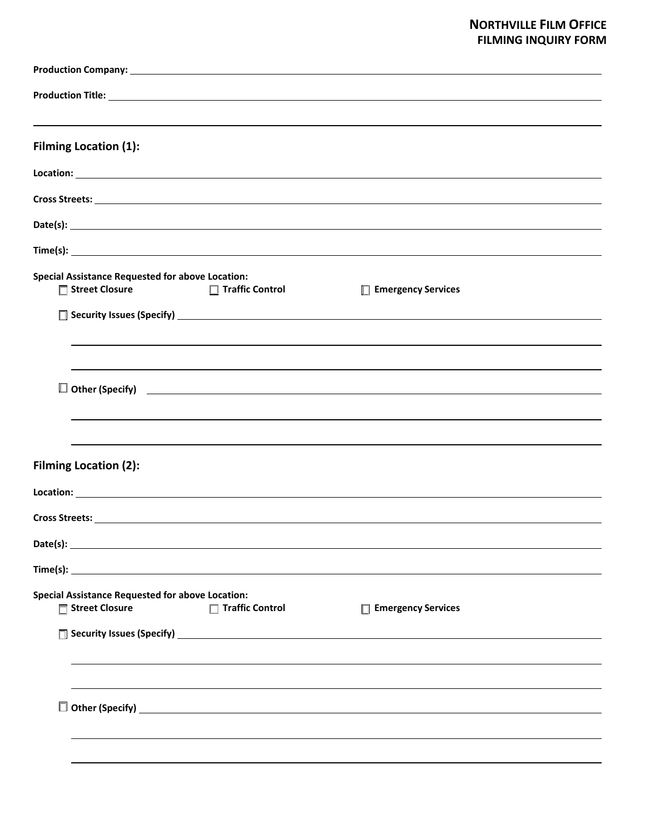## **NORTHVILLE FILM OFFICE FILMING INQUIRY FORM**

| <b>Filming Location (1):</b>                                                                                                                                                                                                         |                           |  |  |  |
|--------------------------------------------------------------------------------------------------------------------------------------------------------------------------------------------------------------------------------------|---------------------------|--|--|--|
| <b>Location: Example 2021</b>                                                                                                                                                                                                        |                           |  |  |  |
|                                                                                                                                                                                                                                      |                           |  |  |  |
|                                                                                                                                                                                                                                      |                           |  |  |  |
|                                                                                                                                                                                                                                      |                           |  |  |  |
| <b>Special Assistance Requested for above Location:</b><br>□ Street Closure<br>□ Traffic Control                                                                                                                                     | $\Box$ Emergency Services |  |  |  |
| $\Box$ Security Issues (Specify) $\Box$                                                                                                                                                                                              |                           |  |  |  |
|                                                                                                                                                                                                                                      |                           |  |  |  |
|                                                                                                                                                                                                                                      |                           |  |  |  |
| $\Box$ Other (Specify) $\Box$                                                                                                                                                                                                        |                           |  |  |  |
|                                                                                                                                                                                                                                      |                           |  |  |  |
|                                                                                                                                                                                                                                      |                           |  |  |  |
| <b>Filming Location (2):</b>                                                                                                                                                                                                         |                           |  |  |  |
|                                                                                                                                                                                                                                      |                           |  |  |  |
|                                                                                                                                                                                                                                      |                           |  |  |  |
| Date(s): <u>the contract of the contract of the contract of the contract of the contract of the contract of the contract of the contract of the contract of the contract of the contract of the contract of the contract of the </u> |                           |  |  |  |
| Time(s):                                                                                                                                                                                                                             |                           |  |  |  |
| <b>Special Assistance Requested for above Location:</b>                                                                                                                                                                              |                           |  |  |  |
| □ Street Closure<br>$\Box$ Traffic Control                                                                                                                                                                                           | □ Emergency Services      |  |  |  |
|                                                                                                                                                                                                                                      |                           |  |  |  |
|                                                                                                                                                                                                                                      |                           |  |  |  |
|                                                                                                                                                                                                                                      |                           |  |  |  |
| $\Box$ Other (Specify) $\Box$                                                                                                                                                                                                        |                           |  |  |  |
|                                                                                                                                                                                                                                      |                           |  |  |  |
|                                                                                                                                                                                                                                      |                           |  |  |  |